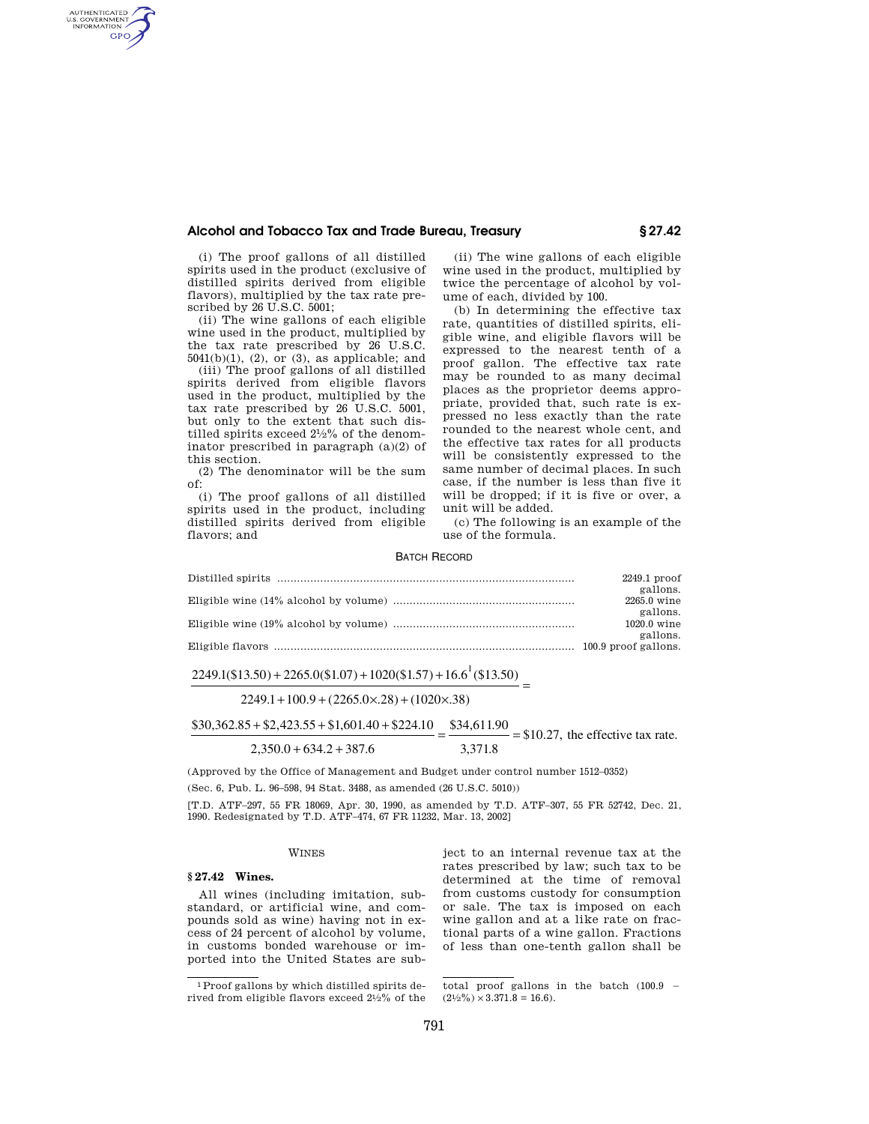# **Alcohol and Tobacco Tax and Trade Bureau, Treasury § 27.42**

(i) The proof gallons of all distilled spirits used in the product (exclusive of distilled spirits derived from eligible flavors), multiplied by the tax rate prescribed by 26 U.S.C. 5001;

AUTHENTICATED<br>U.S. GOVERNMENT<br>INFORMATION **GPO** 

> (ii) The wine gallons of each eligible wine used in the product, multiplied by the tax rate prescribed by 26 U.S.C.  $5041(b)(1)$ ,  $(2)$ , or  $(3)$ , as applicable; and

> (iii) The proof gallons of all distilled spirits derived from eligible flavors used in the product, multiplied by the tax rate prescribed by 26 U.S.C. 5001, but only to the extent that such distilled spirits exceed 21⁄2% of the denominator prescribed in paragraph (a)(2) of this section.

> (2) The denominator will be the sum of:

> (i) The proof gallons of all distilled spirits used in the product, including distilled spirits derived from eligible flavors; and

(ii) The wine gallons of each eligible wine used in the product, multiplied by twice the percentage of alcohol by volume of each, divided by 100.

(b) In determining the effective tax rate, quantities of distilled spirits, eligible wine, and eligible flavors will be expressed to the nearest tenth of a proof gallon. The effective tax rate may be rounded to as many decimal places as the proprietor deems appropriate, provided that, such rate is expressed no less exactly than the rate rounded to the nearest whole cent, and the effective tax rates for all products will be consistently expressed to the same number of decimal places. In such case, if the number is less than five it will be dropped; if it is five or over, a unit will be added.

(c) The following is an example of the use of the formula.

#### BATCH RECORD

| 2249.1 proof         |
|----------------------|
| gallons.             |
| 2265.0 wine          |
| gallons.             |
| 1020.0 wine          |
| gallons.             |
| 100.9 proof gallons. |
|                      |

# $\frac{2249.1(\$13.50) + 2265.0(\$1.07) + 1020(\$1.57) + 16.6^{\{1\}}(\$13.50)}{=}$

 $2249.1 + 100.9 + (2265.0 \times 0.28) + (1020 \times 0.38)$ 

## $$30,362.85 + $2,423.55 + $1,601.40 + $224.10 = $34,611.90 = $10.27$ , the effective tax rate.  $2,350.0 + 634.2 + 387.6$ 3,371.8

(Approved by the Office of Management and Budget under control number 1512–0352)

(Sec. 6, Pub. L. 96–598, 94 Stat. 3488, as amended (26 U.S.C. 5010))

[T.D. ATF–297, 55 FR 18069, Apr. 30, 1990, as amended by T.D. ATF–307, 55 FR 52742, Dec. 21, 1990. Redesignated by T.D. ATF–474, 67 FR 11232, Mar. 13, 2002]

#### WINES

#### **§ 27.42 Wines.**

All wines (including imitation, substandard, or artificial wine, and compounds sold as wine) having not in excess of 24 percent of alcohol by volume, in customs bonded warehouse or imported into the United States are subject to an internal revenue tax at the rates prescribed by law; such tax to be determined at the time of removal from customs custody for consumption or sale. The tax is imposed on each wine gallon and at a like rate on fractional parts of a wine gallon. Fractions of less than one-tenth gallon shall be

<sup>1</sup>Proof gallons by which distilled spirits derived from eligible flavors exceed 21⁄2% of the

total proof gallons in the batch  $(100.9 (2\frac{1}{2}\%) \times 3.371.8 = 16.6$ .